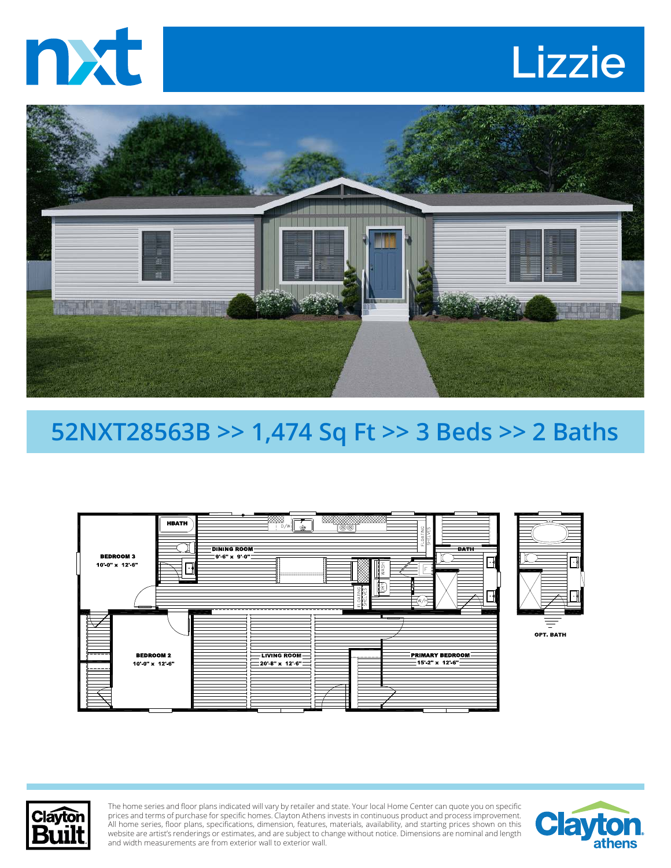





## **52NXT28563B >> 1,474 Sq Ft >> 3 Beds >> 2 Baths**





The home series and floor plans indicated will vary by retailer and state. Your local Home Center can quote you on specific prices and terms of purchase for specific homes. Clayton Athens invests in continuous product and process improvement. All home series, floor plans, specifications, dimension, features, materials, availability, and starting prices shown on this website are artist's renderings or estimates, and are subject to change without notice. Dimensions are nominal and length and width measurements are from exterior wall to exterior wall.